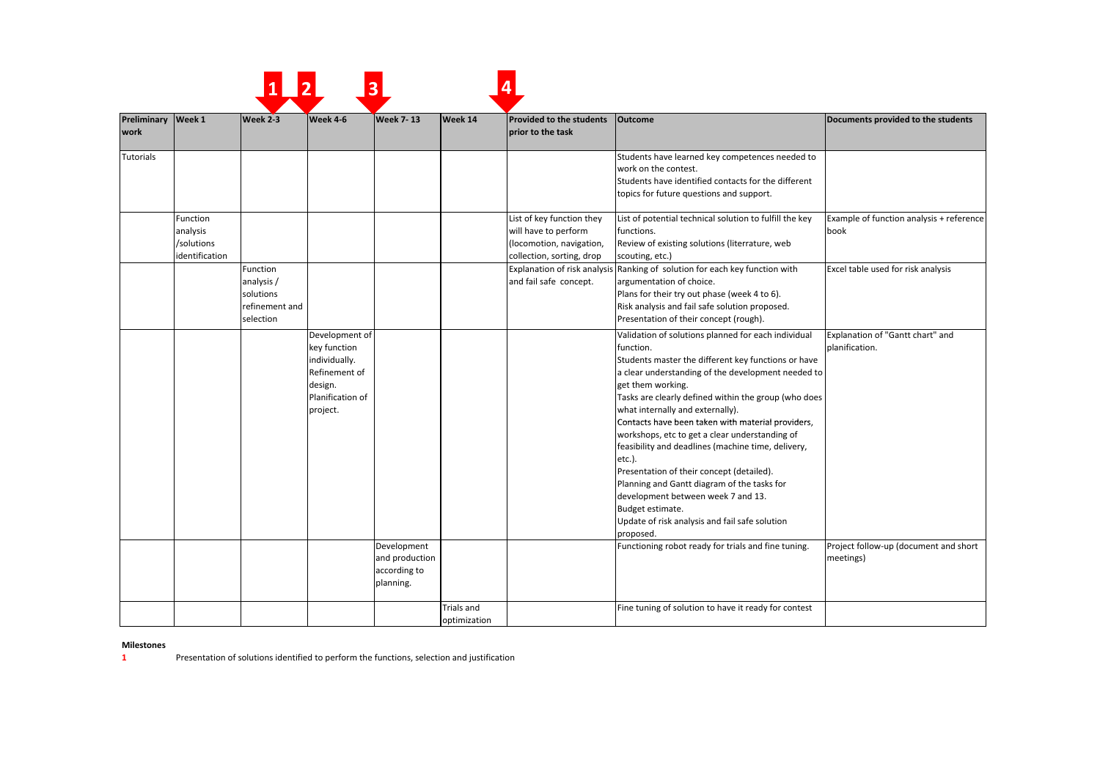|                            |                                                      |                                                                    |                                                                                                             | 3                                                          |                                   |                                                                                                            |                                                                                                                                                                                                                                                                                                                                                                                                                                                                                                                                                                                                                                                                                            |                                                    |
|----------------------------|------------------------------------------------------|--------------------------------------------------------------------|-------------------------------------------------------------------------------------------------------------|------------------------------------------------------------|-----------------------------------|------------------------------------------------------------------------------------------------------------|--------------------------------------------------------------------------------------------------------------------------------------------------------------------------------------------------------------------------------------------------------------------------------------------------------------------------------------------------------------------------------------------------------------------------------------------------------------------------------------------------------------------------------------------------------------------------------------------------------------------------------------------------------------------------------------------|----------------------------------------------------|
| Preliminary Week 1<br>work |                                                      | Week 2-3                                                           | Week 4-6                                                                                                    | <b>Week 7-13</b>                                           | Week 14                           | <b>Provided to the students</b><br>prior to the task                                                       | <b>Outcome</b>                                                                                                                                                                                                                                                                                                                                                                                                                                                                                                                                                                                                                                                                             | Documents provided to the students                 |
| <b>Tutorials</b>           |                                                      |                                                                    |                                                                                                             |                                                            |                                   |                                                                                                            | Students have learned key competences needed to<br>work on the contest.<br>Students have identified contacts for the different<br>topics for future questions and support.                                                                                                                                                                                                                                                                                                                                                                                                                                                                                                                 |                                                    |
|                            | Function<br>analysis<br>/solutions<br>identification |                                                                    |                                                                                                             |                                                            |                                   | List of key function they<br>will have to perform<br>(locomotion, navigation,<br>collection, sorting, drop | List of potential technical solution to fulfill the key<br>functions.<br>Review of existing solutions (literrature, web<br>scouting, etc.)                                                                                                                                                                                                                                                                                                                                                                                                                                                                                                                                                 | Example of function analysis + reference<br>book   |
|                            |                                                      | Function<br>analysis /<br>solutions<br>refinement and<br>selection |                                                                                                             |                                                            |                                   | and fail safe concept.                                                                                     | Explanation of risk analysis Ranking of solution for each key function with<br>argumentation of choice.<br>Plans for their try out phase (week 4 to 6).<br>Risk analysis and fail safe solution proposed.<br>Presentation of their concept (rough).                                                                                                                                                                                                                                                                                                                                                                                                                                        | Excel table used for risk analysis                 |
|                            |                                                      |                                                                    | Development of<br>key function<br>individually.<br>Refinement of<br>design.<br>Planification of<br>project. |                                                            |                                   |                                                                                                            | Validation of solutions planned for each individual<br>function.<br>Students master the different key functions or have<br>a clear understanding of the development needed to<br>get them working.<br>Tasks are clearly defined within the group (who does<br>what internally and externally).<br>Contacts have been taken with material providers,<br>workshops, etc to get a clear understanding of<br>feasibility and deadlines (machine time, delivery,<br>etc.).<br>Presentation of their concept (detailed).<br>Planning and Gantt diagram of the tasks for<br>development between week 7 and 13.<br>Budget estimate.<br>Update of risk analysis and fail safe solution<br>proposed. | Explanation of "Gantt chart" and<br>planification. |
|                            |                                                      |                                                                    |                                                                                                             | Development<br>and production<br>according to<br>planning. |                                   |                                                                                                            | Functioning robot ready for trials and fine tuning.                                                                                                                                                                                                                                                                                                                                                                                                                                                                                                                                                                                                                                        | Project follow-up (document and short<br>meetings) |
|                            |                                                      |                                                                    |                                                                                                             |                                                            | <b>Trials and</b><br>optimization |                                                                                                            | Fine tuning of solution to have it ready for contest                                                                                                                                                                                                                                                                                                                                                                                                                                                                                                                                                                                                                                       |                                                    |

## **Milestones**

**11** Presentation of solutions identified to perform the functions, selection and justification